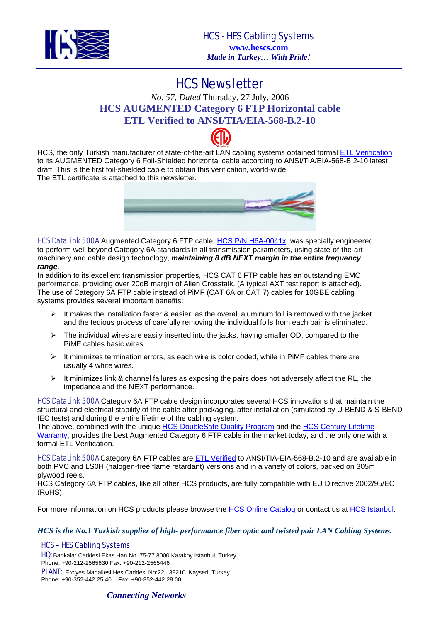

## HCS Newsletter

## *No. 57, Dated* Thursday, 27 July, 2006 **HCS AUGMENTED Category 6 FTP Horizontal cable ETL Verified to ANSI/TIA/EIA-568-B.2-10**

HCS, the only Turkish manufacturer of state-of-the-art LAN cabling systems obtained formal [ETL Verification](http://www.intertek-etlsemko.com/portal/page?_pageid=34,111603&_dad=cust_portal&_schema=CUST_PORTAL) to its AUGMENTED Category 6 Foil-Shielded horizontal cable according to ANSI/TIA/EIA-568-B.2-10 latest draft. This is the first foil-shielded cable to obtain this verification, world-wide. The ETL certificate is attached to this newsletter.



HCS DataLink 500A Augmented Category 6 FTP cable, [HCS P/N H6A-0041x](http://www.hescs.com/katalogen/?dosya=70_2.htm), was specially engineered to perform well beyond Category 6A standards in all transmission parameters, using state-of-the-art machinery and cable design technology, *maintaining 8 dB NEXT margin in the entire frequency range.* 

In addition to its excellent transmission properties, HCS CAT 6 FTP cable has an outstanding EMC performance, providing over 20dB margin of Alien Crosstalk. (A typical AXT test report is attached). The use of Category 6A FTP cable instead of PiMF (CAT 6A or CAT 7) cables for 10GBE cabling systems provides several important benefits:

- $\triangleright$  It makes the installation faster & easier, as the overall aluminum foil is removed with the jacket and the tedious process of carefully removing the individual foils from each pair is eliminated.
- $\triangleright$  The individual wires are easily inserted into the jacks, having smaller OD, compared to the PiMF cables basic wires.
- $\triangleright$  It minimizes termination errors, as each wire is color coded, while in PiMF cables there are usually 4 white wires.
- $\triangleright$  It minimizes link & channel failures as exposing the pairs does not adversely affect the RL, the impedance and the NEXT performance.

HCS DataLink 500A Category 6A FTP cable design incorporates several HCS innovations that maintain the structural and electrical stability of the cable after packaging, after installation (simulated by U-BEND & S-BEND IEC tests) and during the entire lifetime of the cabling system.

The above, combined with the unique [HCS DoubleSafe Quality Program](http://hescs.com/eng/?s=quality.htm) and the HCS Century Lifetime [Warranty](http://hescs.com/eng/?s=warranty.htm), provides the best Augmented Category 6 FTP cable in the market today, and the only one with a formal ETL Verification.

[HCS DataLink 500A](http://www.hescs.com/katalogen/?dosya=70_2.htm) Category 6A FTP cables are [ETL Verified](http://www.intertek-etlsemko.com/portal/page?_pageid=34,111603&_dad=cust_portal&_schema=CUST_PORTAL) to ANSI/TIA-EIA-568-B.2-10 and are available in both PVC and LS0H (halogen-free flame retardant) versions and in a variety of colors, packed on 305m plywood reels.

HCS Category 6A FTP cables, like all other HCS products, are fully compatible with EU Directive 2002/95/EC (RoHS).

For more information on HCS products please browse the [HCS Online Catalog](http://hescs.com/katalogen/) or contact us at [HCS Istanbul.](http://hescs.com/eng/?s=contact.php)

*HCS is the No.1 Turkish supplier of high- performance fiber optic and twisted pair LAN Cabling Systems.* 

### HCS – HES Cabling Systems

HQ: Bankalar Caddesi Ekas Han No. 75-77 8000 Karakoy Istanbul, Turkey. Phone: +90-212-2565630 Fax: +90-212-2565446

PLANT: Erciyes Mahallesi Hes Caddesi No:22 38210 Kayseri, Turkey Phone: +90-352-442 25 40 Fax: +90-352-442 28 00

### *Connecting Networks*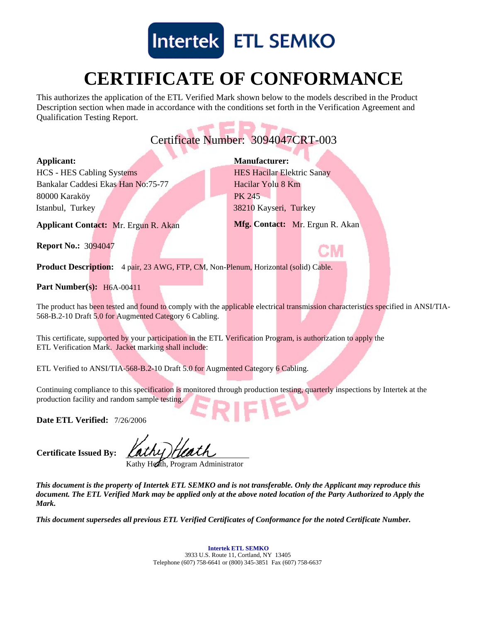

# **CERTIFICATE OF CONFORMANCE**

This authorizes the application of the ETL Verified Mark shown below to the models described in the Product Description section when made in accordance with the conditions set forth in the Verification Agreement and Qualification Testing Report.

## **PEP** Certificate Number: 3094047CRT-003

### **Applicant:**

Istanbul, Turkey Bankalar Caddesi Ekas Han No:75-77 HCS - HES Cabling Systems 80000 Karaköy

38210 Kayseri, Turkey Hacilar Yolu 8 Km **Manufacturer:** HES Hacilar Elektric Sanay PK 245

**Mfg. Contact:** Mr. Ergun R. Akan

**Applicant Contact: Mr. Ergun R. Akan** 

**Report No.:** 3094047

**Product Description:** 4 pair, 23 AWG, FTP, CM, Non-Plenum, Horizontal (solid) Cable.

### **Part Number(s):** H6A-00411

The product has been tested and found to comply with the applicable electrical transmission characteristics specified in ANSI/TIA-568-B.2-10 Draft 5.0 for Augmented Category 6 Cabling.

This certificate, supported by your participation in the ETL Verification Program, is authorization to apply the ETL Verification Mark. Jacket marking shall include:

ETL Verified to ANSI/TIA-568-B.2-10 Draft 5.0 for Augmented Category 6 Cabling.

Continuing compliance to this specification is monitored through production testing, quarterly inspections by Intertek at the production facility and random sample testing.

Date ETL Verified: 7/26/2006

**Certificate Issued By:**

Kathy Heath, Program Administrator

*This document is the property of Intertek ETL SEMKO and is not transferable. Only the Applicant may reproduce this document. The ETL Verified Mark may be applied only at the above noted location of the Party Authorized to Apply the Mark.*

*This document supersedes all previous ETL Verified Certificates of Conformance for the noted Certificate Number.*

3933 U.S. Route 11, Cortland, NY 13405 Telephone (607) 758-6641 or (800) 345-3851 Fax (607) 758-6637 **Intertek ETL SEMKO**